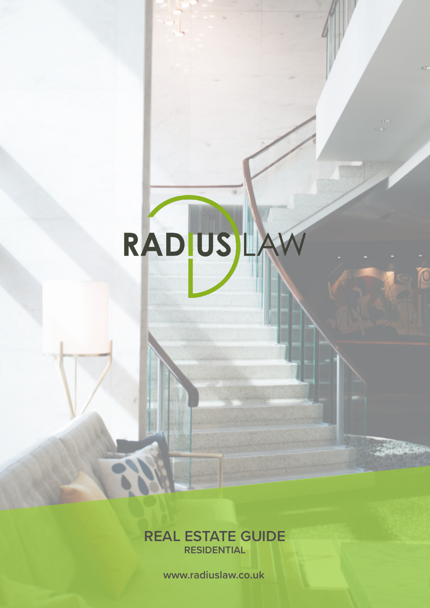# RADIUSILA

Ok.

an s

 $\overline{C}$ 

**REAL ESTATE GUIDE RESIDENTIAL**

**www.radiuslaw.co.uk**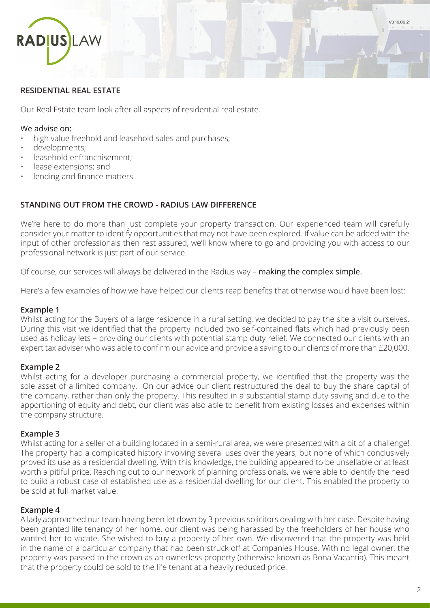

#### **RESIDENTIAL REAL ESTATE**

Our Real Estate team look after all aspects of residential real estate.

#### We advise on:

- high value freehold and leasehold sales and purchases;
- developments;
- leasehold enfranchisement;
- lease extensions; and
- lending and finance matters.

#### **STANDING OUT FROM THE CROWD - RADIUS LAW DIFFERENCE**

We're here to do more than just complete your property transaction. Our experienced team will carefully consider your matter to identify opportunities that may not have been explored. If value can be added with the input of other professionals then rest assured, we'll know where to go and providing you with access to our professional network is just part of our service.

Of course, our services will always be delivered in the Radius way – making the complex simple.

Here's a few examples of how we have helped our clients reap benefits that otherwise would have been lost:

#### **Example 1**

Whilst acting for the Buyers of a large residence in a rural setting, we decided to pay the site a visit ourselves. During this visit we identified that the property included two self-contained flats which had previously been used as holiday lets – providing our clients with potential stamp duty relief. We connected our clients with an expert tax adviser who was able to confirm our advice and provide a saving to our clients of more than £20,000.

#### **Example 2**

Whilst acting for a developer purchasing a commercial property, we identified that the property was the sole asset of a limited company. On our advice our client restructured the deal to buy the share capital of the company, rather than only the property. This resulted in a substantial stamp duty saving and due to the apportioning of equity and debt, our client was also able to benefit from existing losses and expenses within the company structure.

#### **Example 3**

Whilst acting for a seller of a building located in a semi-rural area, we were presented with a bit of a challenge! The property had a complicated history involving several uses over the years, but none of which conclusively proved its use as a residential dwelling. With this knowledge, the building appeared to be unsellable or at least worth a pitiful price. Reaching out to our network of planning professionals, we were able to identify the need to build a robust case of established use as a residential dwelling for our client. This enabled the property to be sold at full market value.

#### **Example 4**

A lady approached our team having been let down by 3 previous solicitors dealing with her case. Despite having been granted life tenancy of her home, our client was being harassed by the freeholders of her house who wanted her to vacate. She wished to buy a property of her own. We discovered that the property was held in the name of a particular company that had been struck off at Companies House. With no legal owner, the property was passed to the crown as an ownerless property (otherwise known as Bona Vacantia). This meant that the property could be sold to the life tenant at a heavily reduced price.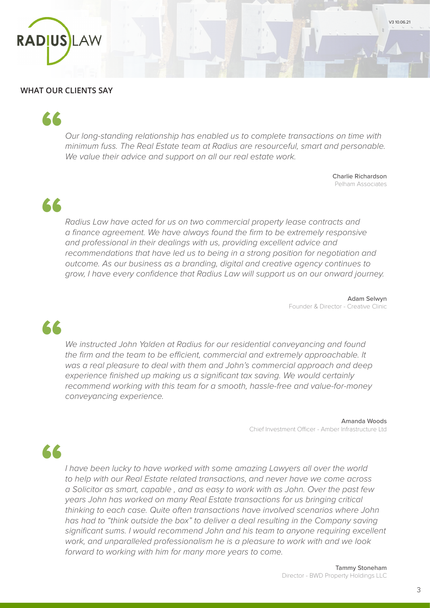

#### **WHAT OUR CLIENTS SAY**

# "

*Our long-standing relationship has enabled us to complete transactions on time with minimum fuss. The Real Estate team at Radius are resourceful, smart and personable. We value their advice and support on all our real estate work.*

> Charlie Richardson Pelham Associates

V3 10.06.21

"

*Radius Law have acted for us on two commercial property lease contracts and a finance agreement. We have always found the firm to be extremely responsive and professional in their dealings with us, providing excellent advice and recommendations that have led us to being in a strong position for negotiation and outcome. As our business as a branding, digital and creative agency continues to grow, I have every confidence that Radius Law will support us on our onward journey.*

> Adam Selwyn Founder & Director - Creative Clinic

"

*We instructed John Yalden at Radius for our residential conveyancing and found the firm and the team to be efficient, commercial and extremely approachable. It was a real pleasure to deal with them and John's commercial approach and deep experience finished up making us a significant tax saving. We would certainly recommend working with this team for a smooth, hassle-free and value-for-money conveyancing experience.*

> Amanda Woods Chief Investment Officer - Amber Infrastructure Ltd

66

*I have been lucky to have worked with some amazing Lawyers all over the world to help with our Real Estate related transactions, and never have we come across a Solicitor as smart, capable , and as easy to work with as John. Over the past few years John has worked on many Real Estate transactions for us bringing critical thinking to each case. Quite often transactions have involved scenarios where John has had to "think outside the box" to deliver a deal resulting in the Company saving significant sums. I would recommend John and his team to anyone requiring excellent work, and unparalleled professionalism he is a pleasure to work with and we look forward to working with him for many more years to come.*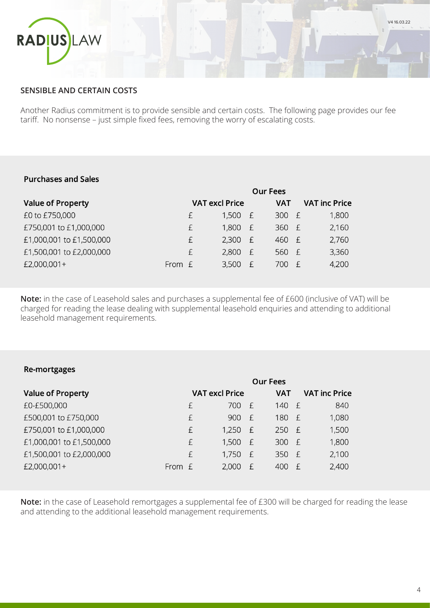

# **SENSIBLE AND CERTAIN COSTS**

Another Radius commitment is to provide sensible and certain costs. The following page provides our fee tariff. No nonsense – just simple fixed fees, removing the worry of escalating costs.

# **Purchases and Sales**

|                          |        | <b>Our Fees</b>       |       |                      |                      |  |
|--------------------------|--------|-----------------------|-------|----------------------|----------------------|--|
| <b>Value of Property</b> |        | <b>VAT excl Price</b> |       | <b>VAT</b>           | <b>VAT inc Price</b> |  |
| £0 to £750,000           | £      | 1,500                 | – £   | 300<br>$-\mathsf{f}$ | 1,800                |  |
| £750,001 to £1,000,000   | £      | 1,800                 | $-$ f | 360 £                | 2,160                |  |
| £1,000,001 to £1,500,000 | £      | 2,300                 | – £   | 460 £                | 2,760                |  |
| £1,500,001 to £2,000,000 | f      | 2,800                 | $-$ f | 560 £                | 3,360                |  |
| £2,000,001+              | From £ | 3,500 £               |       | 700<br>- F           | 4,200                |  |

**Note:** in the case of Leasehold sales and purchases a supplemental fee of £600 (inclusive of VAT) will be charged for reading the lease dealing with supplemental leasehold enquiries and attending to additional leasehold management requirements.

#### Re-mortgages

|                          |          | Our Fees |                       |   |            |              |                      |
|--------------------------|----------|----------|-----------------------|---|------------|--------------|----------------------|
| <b>Value of Property</b> |          |          | <b>VAT excl Price</b> |   | <b>VAT</b> |              | <b>VAT inc Price</b> |
| £0-£500,000              |          | £        | 700 £                 |   | 140 £      |              | 840                  |
| £500,001 to £750,000     |          | £        | 900 £                 |   | 180 £      |              | 1,080                |
| £750,001 to £1,000,000   |          | £        | $1,250$ £             |   | $250$ £    |              | 1,500                |
| £1,000,001 to £1,500,000 |          | £        | $1,500$ £             |   | 300 £      |              | 1,800                |
| £1,500,001 to £2,000,000 |          | £        | $1,750$ £             |   | 350 £      |              | 2,100                |
| £2,000,001+              | From $E$ |          | 2,000                 | E | 400        | $\mathsf{f}$ | 2,400                |
|                          |          |          |                       |   |            |              |                      |

**Note:** in the case of Leasehold remortgages a supplemental fee of £300 will be charged for reading the lease and attending to the additional leasehold management requirements.

V4 16.03.22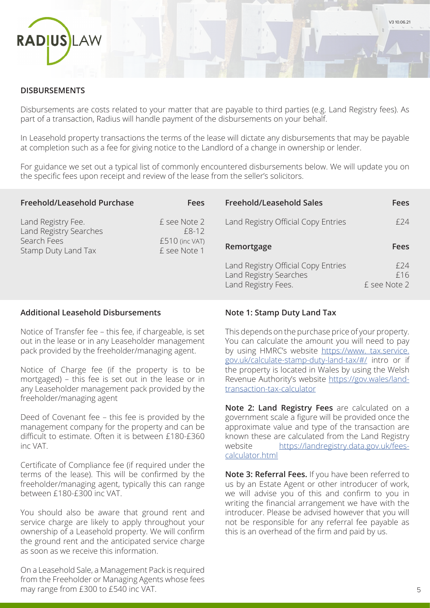

#### **DISBURSEMENTS**

Disbursements are costs related to your matter that are payable to third parties (e.g. Land Registry fees). As part of a transaction, Radius will handle payment of the disbursements on your behalf.

In Leasehold property transactions the terms of the lease will dictate any disbursements that may be payable at completion such as a fee for giving notice to the Landlord of a change in ownership or lender.

For guidance we set out a typical list of commonly encountered disbursements below. We will update you on the specific fees upon receipt and review of the lease from the seller's solicitors.

| Freehold/Leasehold Purchase                                                        | <b>Fees</b>                    | <b>Freehold/Leasehold Sales</b>                                                      | <b>Fees</b>                 |
|------------------------------------------------------------------------------------|--------------------------------|--------------------------------------------------------------------------------------|-----------------------------|
| Land Registry Fee.<br>Land Registry Searches<br>Search Fees<br>Stamp Duty Land Tax | £ see Note 2<br>$£8-12$        | Land Registry Official Copy Entries                                                  | £24                         |
|                                                                                    | £510 (inc VAT)<br>£ see Note 1 | Remortgage                                                                           | <b>Fees</b>                 |
|                                                                                    |                                | Land Registry Official Copy Entries<br>Land Registry Searches<br>Land Registry Fees. | f 24<br>£16<br>£ see Note 2 |

#### **Additional Leasehold Disbursements**

Notice of Transfer fee – this fee, if chargeable, is set out in the lease or in any Leaseholder management pack provided by the freeholder/managing agent.

Notice of Charge fee (if the property is to be mortgaged) – this fee is set out in the lease or in any Leaseholder management pack provided by the freeholder/managing agent

Deed of Covenant fee – this fee is provided by the management company for the property and can be difficult to estimate. Often it is between £180-£360 inc VAT.

Certificate of Compliance fee (if required under the terms of the lease). This will be confirmed by the freeholder/managing agent, typically this can range between £180-£300 inc VAT.

You should also be aware that ground rent and service charge are likely to apply throughout your ownership of a Leasehold property. We will confirm the ground rent and the anticipated service charge as soon as we receive this information.

On a Leasehold Sale, a Management Pack is required from the Freeholder or Managing Agents whose fees may range from £300 to £540 inc VAT.

# **Note 1: Stamp Duty Land Tax**

This depends on the purchase price of your property. You can calculate the amount you will need to pay by using HMRC's website https://www. tax.service. gov.uk/calculate-stamp-duty-land-tax/#/ intro or if the property is located in Wales by using the Welsh Revenue Authority's website https://gov.wales/landtransaction-tax-calculator

**Note 2: Land Registry Fees** are calculated on a government scale a figure will be provided once the approximate value and type of the transaction are known these are calculated from the Land Registry website https://landregistry.data.gov.uk/feescalculator.html

**Note 3: Referral Fees.** If you have been referred to us by an Estate Agent or other introducer of work, we will advise you of this and confirm to you in writing the financial arrangement we have with the introducer. Please be advised however that you will not be responsible for any referral fee payable as this is an overhead of the firm and paid by us.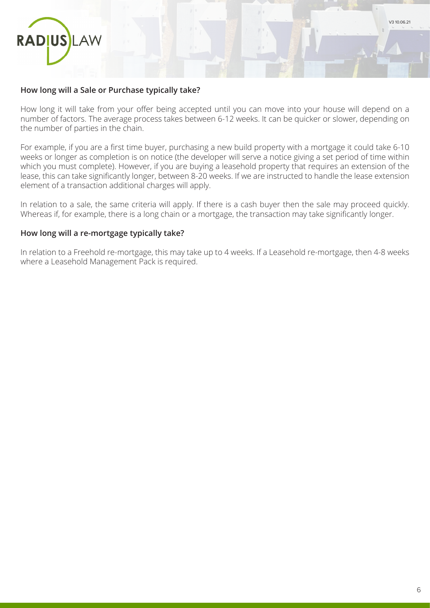

#### **How long will a Sale or Purchase typically take?**

How long it will take from your offer being accepted until you can move into your house will depend on a number of factors. The average process takes between 6-12 weeks. It can be quicker or slower, depending on the number of parties in the chain.

For example, if you are a first time buyer, purchasing a new build property with a mortgage it could take 6-10 weeks or longer as completion is on notice (the developer will serve a notice giving a set period of time within which you must complete). However, if you are buying a leasehold property that requires an extension of the lease, this can take significantly longer, between 8-20 weeks. If we are instructed to handle the lease extension element of a transaction additional charges will apply.

In relation to a sale, the same criteria will apply. If there is a cash buyer then the sale may proceed quickly. Whereas if, for example, there is a long chain or a mortgage, the transaction may take significantly longer.

#### **How long will a re-mortgage typically take?**

In relation to a Freehold re-mortgage, this may take up to 4 weeks. If a Leasehold re-mortgage, then 4-8 weeks where a Leasehold Management Pack is required.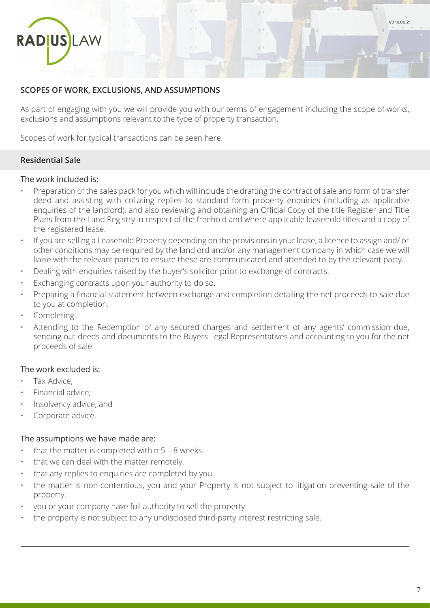

# **SCOPES OF WORK, EXCLUSIONS, AND ASSUMPTIONS**

As part of engaging with you we will provide you with our terms of engagement including the scope of works, exclusions and assumptions relevant to the type of property transaction.

Scopes of work for typical transactions can be seen here:

# **Residential Sale**

#### The work included is:

- Preparation of the sales pack for you which will include the drafting the contract of sale and form of transfer deed and assisting with collating replies to standard form property enquiries (including as applicable enquiries of the landlord), and also reviewing and obtaining an Official Copy of the title Register and Title Plans from the Land Registry in respect of the freehold and where applicable leasehold titles and a copy of the registered lease.
- If you are selling a Leasehold Property depending on the provisions in your lease, a licence to assign and/ or other conditions may be required by the landlord and/or any management company in which case we will liaise with the relevant parties to ensure these are communicated and attended to by the relevant party.
- Dealing with enquiries raised by the buyer's solicitor prior to exchange of contracts.
- Exchanging contracts upon your authority to do so.
- Preparing a financial statement between exchange and completion detailing the net proceeds to sale due to you at completion.
- Completing.
- Attending to the Redemption of any secured charges and settlement of any agents' commission due, sending out deeds and documents to the Buyers Legal Representatives and accounting to you for the net proceeds of sale.

#### The work excluded is:

- Tax Advice;
- Financial advice;
- Insolvency advice; and
- Corporate advice.

#### The assumptions we have made are:

- that the matter is completed within  $5 8$  weeks.
- that we can deal with the matter remotely.
- that any replies to enquiries are completed by you.
- the matter is non-contentious, you and your Property is not subject to litigation preventing sale of the property.
- you or your company have full authority to sell the property.
- the property is not subject to any undisclosed third-party interest restricting sale.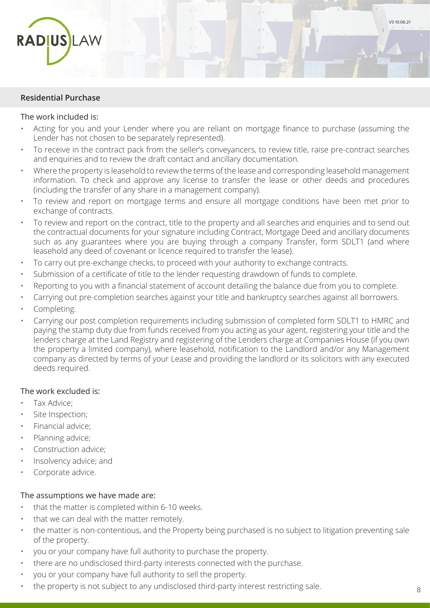

#### **Residential Purchase**

#### The work included is:

- Acting for you and your Lender where you are reliant on mortgage finance to purchase (assuming the Lender has not chosen to be separately represented).
- To receive in the contract pack from the seller's conveyancers, to review title, raise pre-contract searches and enquiries and to review the draft contact and ancillary documentation.
- Where the property is leasehold to review the terms of the lease and corresponding leasehold management information. To check and approve any license to transfer the lease or other deeds and procedures (including the transfer of any share in a management company).
- To review and report on mortgage terms and ensure all mortgage conditions have been met prior to exchange of contracts.
- To review and report on the contract, title to the property and all searches and enquiries and to send out the contractual documents for your signature including Contract, Mortgage Deed and ancillary documents such as any guarantees where you are buying through a company Transfer, form SDLT1 (and where leasehold any deed of covenant or licence required to transfer the lease).
- To carry out pre-exchange checks, to proceed with your authority to exchange contracts.
- Submission of a certificate of title to the lender requesting drawdown of funds to complete.
- Reporting to you with a financial statement of account detailing the balance due from you to complete.
- Carrying out pre-completion searches against your title and bankruptcy searches against all borrowers.
- Completing.
- Carrying our post completion requirements including submission of completed form SDLT1 to HMRC and paying the stamp duty due from funds received from you acting as your agent, registering your title and the lenders charge at the Land Registry and registering of the Lenders charge at Companies House (if you own the property a limited company), where leasehold, notification to the Landlord and/or any Management company as directed by terms of your Lease and providing the landlord or its solicitors with any executed deeds required.

#### The work excluded is:

- Tax Advice;
- Site Inspection;
- Financial advice;
- Planning advice;
- Construction advice;
- Insolvency advice; and
- Corporate advice.

#### The assumptions we have made are:

- that the matter is completed within 6-10 weeks.
- that we can deal with the matter remotely.
- the matter is non-contentious, and the Property being purchased is no subject to litigation preventing sale of the property.
- you or your company have full authority to purchase the property.
- there are no undisclosed third-party interests connected with the purchase.
- you or your company have full authority to sell the property.
- the property is not subject to any undisclosed third-party interest restricting sale.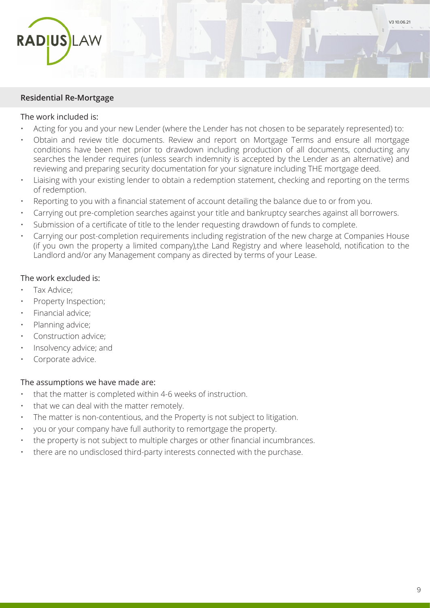

#### **Residential Re-Mortgage**

#### The work included is:

- Acting for you and your new Lender (where the Lender has not chosen to be separately represented) to:
- Obtain and review title documents. Review and report on Mortgage Terms and ensure all mortgage conditions have been met prior to drawdown including production of all documents, conducting any searches the lender requires (unless search indemnity is accepted by the Lender as an alternative) and reviewing and preparing security documentation for your signature including THE mortgage deed.
- Liaising with your existing lender to obtain a redemption statement, checking and reporting on the terms of redemption.
- Reporting to you with a financial statement of account detailing the balance due to or from you.
- Carrying out pre-completion searches against your title and bankruptcy searches against all borrowers.
- Submission of a certificate of title to the lender requesting drawdown of funds to complete.
- Carrying our post-completion requirements including registration of the new charge at Companies House (if you own the property a limited company),the Land Registry and where leasehold, notification to the Landlord and/or any Management company as directed by terms of your Lease.

# The work excluded is:

- Tax Advice;
- Property Inspection;
- Financial advice;
- Planning advice;
- Construction advice;
- Insolvency advice; and
- Corporate advice.

#### The assumptions we have made are:

- that the matter is completed within 4-6 weeks of instruction.
- that we can deal with the matter remotely.
- The matter is non-contentious, and the Property is not subject to litigation.
- you or your company have full authority to remortgage the property.
- the property is not subject to multiple charges or other financial incumbrances.
- there are no undisclosed third-party interests connected with the purchase.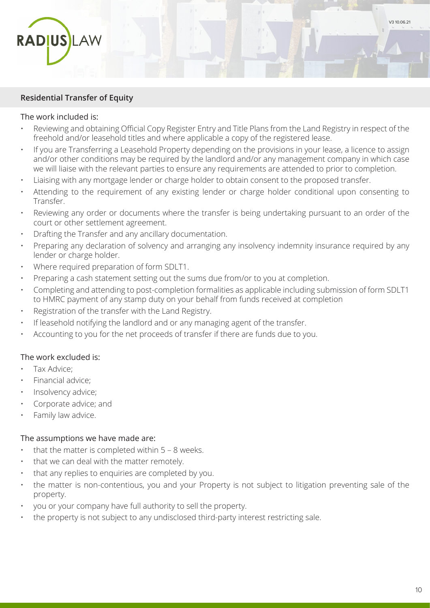

#### **Residential Transfer of Equity**

#### The work included is:

- Reviewing and obtaining Official Copy Register Entry and Title Plans from the Land Registry in respect of the freehold and/or leasehold titles and where applicable a copy of the registered lease.
- If you are Transferring a Leasehold Property depending on the provisions in your lease, a licence to assign and/or other conditions may be required by the landlord and/or any management company in which case we will liaise with the relevant parties to ensure any requirements are attended to prior to completion.
- Liaising with any mortgage lender or charge holder to obtain consent to the proposed transfer.
- Attending to the requirement of any existing lender or charge holder conditional upon consenting to Transfer.
- Reviewing any order or documents where the transfer is being undertaking pursuant to an order of the court or other settlement agreement.
- Drafting the Transfer and any ancillary documentation.
- Preparing any declaration of solvency and arranging any insolvency indemnity insurance required by any lender or charge holder.
- Where required preparation of form SDLT1.
- Preparing a cash statement setting out the sums due from/or to you at completion.
- Completing and attending to post-completion formalities as applicable including submission of form SDLT1 to HMRC payment of any stamp duty on your behalf from funds received at completion
- Registration of the transfer with the Land Registry.
- If leasehold notifying the landlord and or any managing agent of the transfer.
- Accounting to you for the net proceeds of transfer if there are funds due to you.

#### The work excluded is:

- Tax Advice;
- Financial advice;
- Insolvency advice;
- Corporate advice; and
- Family law advice.

#### The assumptions we have made are:

- that the matter is completed within  $5 8$  weeks.
- that we can deal with the matter remotely.
- that any replies to enquiries are completed by you.
- the matter is non-contentious, you and your Property is not subject to litigation preventing sale of the property.
- you or your company have full authority to sell the property.
- the property is not subject to any undisclosed third-party interest restricting sale.